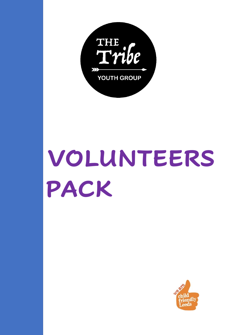

# **VOLUNTEERS PACK**

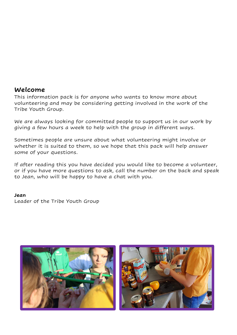#### **Welcome**

This information pack is for anyone who wants to know more about volunteering and may be considering getting involved in the work of the Tribe Youth Group.

We are always looking for committed people to support us in our work by giving a few hours a week to help with the group in different ways.

Sometimes people are unsure about what volunteering might involve or whether it is suited to them, so we hope that this pack will help answer some of your questions.

If after reading this you have decided you would like to become a volunteer, or if you have more questions to ask, call the number on the back and speak to Jean, who will be happy to have a chat with you.

#### **Jean**

Leader of the Tribe Youth Group



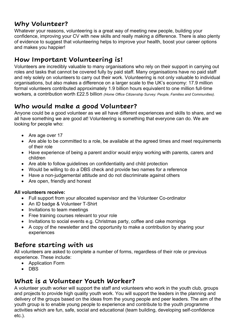## **Why Volunteer?**

Whatever your reasons, volunteering is a great way of meeting new people, building your confidence, improving your CV with new skills and really making a difference. There is also plenty of evidence to suggest that volunteering helps to improve your health, boost your career options and makes you happier!

# **How Important Volunteering is!**

Volunteers are incredibly valuable to many organisations who rely on their support in carrying out roles and tasks that cannot be covered fully by paid staff. Many organisations have no paid staff and rely solely on volunteers to carry out their work. Volunteering is not only valuable to individual organisations, but also makes a difference on a larger scale to the UK's economy: 17.9 million formal volunteers contributed approximately 1.9 billion hours equivalent to one million full-time workers, a contribution worth £22.5 billion *(Home Office Citizenship Survey: People, Families and Communities).*

# **Who would make a good Volunteer?**

Anyone could be a good volunteer as we all have different experiences and skills to share, and we all have something we are good at! Volunteering is something that everyone can do. We are looking for people who:

- Are age over 17
- Are able to be committed to a role, be available at the agreed times and meet requirements of their role
- Have experience of being a parent and/or would enjoy working with parents, carers and children
- Are able to follow guidelines on confidentiality and child protection
- Would be willing to do a DBS check and provide two names for a reference
- Have a non-judgemental attitude and do not discriminate against others
- Are open, friendly and honest

#### **All volunteers receive:**

- Full support from your allocated supervisor and the Volunteer Co-ordinator
- An ID badge & Volunteer T-Shirt
- Invitations to team meetings
- Free training courses relevant to your role
- Invitations to social events e.g. Christmas party, coffee and cake mornings
- A copy of the newsletter and the opportunity to make a contribution by sharing your experiences

## **Before starting with us**

All volunteers are asked to complete a number of forms, regardless of their role or previous experience. These include:

- Application Form
- DBS

# **What is a Volunteer Youth Worker?**

A volunteer youth worker will support the staff and volunteers who work in the youth club, groups and projects to provide high quality youth work. You will support the leaders in the planning and delivery of the groups based on the ideas from the young people and peer leaders. The aim of the youth group is to enable young people to experience and contribute to the youth programme activities which are fun, safe, social and educational (team building, developing self-confidence etc.).